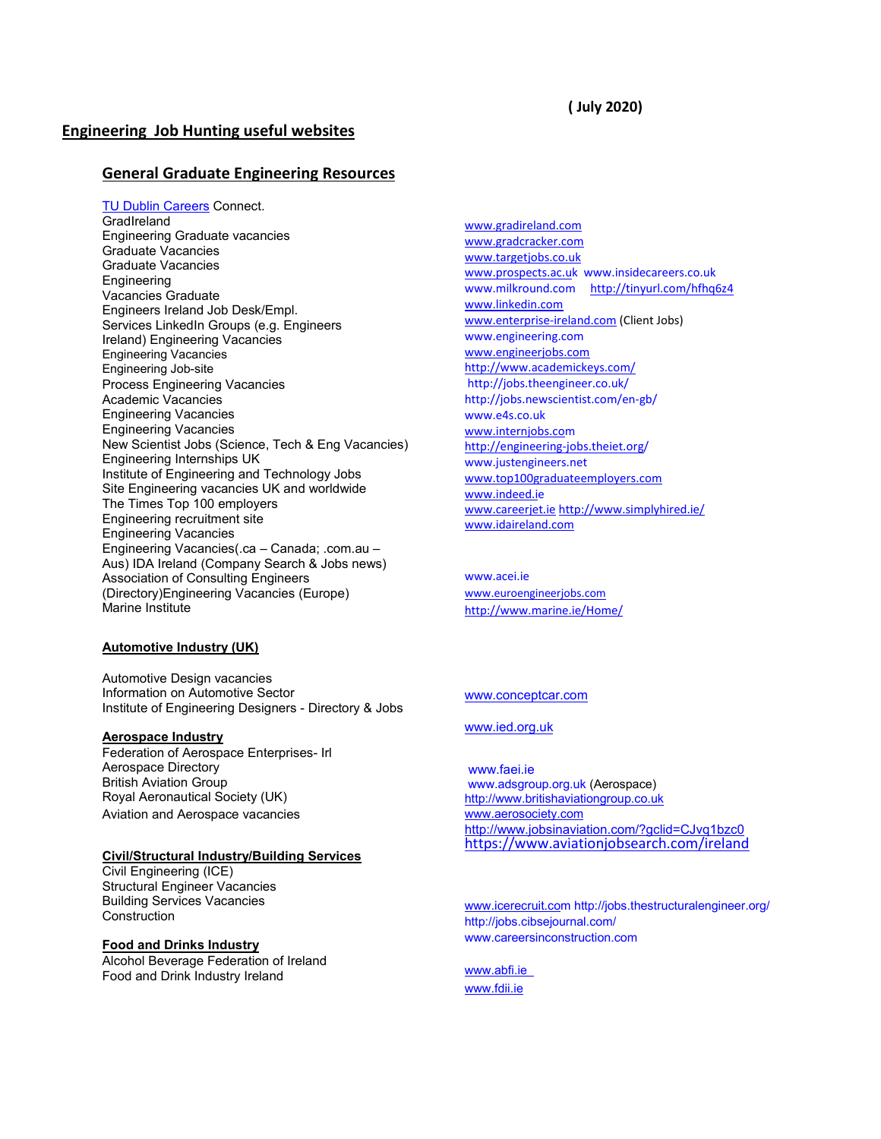# **( July 2020)**

# **Engineering Job Hunting useful websites**

# **General Graduate Engineering Resources**

TU Dublin Careers Connect. **GradIreland** Engineering Graduate vacancies Graduate Vacancies Graduate Vacancies **Engineering** Vacancies Graduate Engineers Ireland Job Desk/Empl. Services LinkedIn Groups (e.g. Engineers Ireland) Engineering Vacancies Engineering Vacancies Engineering Job-site Process Engineering Vacancies Academic Vacancies Engineering Vacancies Engineering Vacancies New Scientist Jobs (Science, Tech & Eng Vacancies) Engineering Internships UK Institute of Engineering and Technology Jobs Site Engineering vacancies UK and worldwide The Times Top 100 employers Engineering recruitment site Engineering Vacancies Engineering Vacancies(.ca – Canada; .com.au – Aus) IDA Ireland (Company Search & Jobs news) Association of Consulting Engineers (Directory)Engineering Vacancies (Europe) Marine Institute

#### **Automotive Industry (UK)**

Automotive Design vacancies Information on Automotive Sector Institute of Engineering Designers - Directory & Jobs

## **Aerospace Industry**

Federation of Aerospace Enterprises- Irl Aerospace Directory British Aviation Group Royal Aeronautical Society (UK) Aviation and Aerospace vacancies

# **Civil/Structural Industry/Building Services**

Civil Engineering (ICE) Structural Engineer Vacancies Building Services Vacancies Construction

#### **Food and Drinks Industry**

Alcohol Beverage Federation of Ireland Food and Drink Industry Ireland

[www.gradireland.com](http://www.gradireland.com/) [www.gradcracker.com](http://www.gradcracker.com/) [www.targetjobs.co.uk](http://www.targetjobs.co.uk/) [www.prospects.ac.uk](http://www.prospects.ac.u/) [www.insidecareers.co.uk](http://www.insidecareers.co.uk/) [www.milkround.com](http://www.milkround.com/) <http://tinyurl.com/hfhq6z4> [www.linkedin.com](http://www.linkedin.com/) [www.enterprise-ireland.com](http://www.enterprise-ireland.com/) (Client Jobs[\)](http://www.engineering.com/) [www.engineering.com](http://www.engineering.com/) [www.engineerjobs.com](http://www.engineerjobs.com/) <http://www.academickeys.com/> <http://jobs.theengineer.co.uk/> <http://jobs.newscientist.com/en-gb/> [www.e4s.co.uk](http://www.e4s.co.uk/) [www.internjobs.com](http://www.internjobs.co/) <http://engineering-jobs.theiet.org/> [www.justengineers.net](http://www.justengineers.net/) [www.top100graduateemployers.com](http://www.top100graduateemployers.com/) [www.indeed.ie](http://www.indeed.i/) [www.careerjet.ie](http://www.careerjet.ie/) <http://www.simplyhired.ie/> [www.idaireland.com](http://www.idaireland.com/)

www.acei.ie [www.euroengineerjobs.com](http://www.euroengineerjobs.com/) <http://www.marine.ie/Home/>

#### [www.conceptcar.com](http://www.conceptcar.com/)

## [www.ied.org.uk](http://www.ied.org.uk/)

[www.faei.ie](http://www.faei.ie/) [www.adsgroup.org.uk](http://www.adsgroup.org.uk/) (Aerospace) [http://www.britishaviationgroup.co.uk](http://www.britishaviationgroup.co.uk/) [www.aerosociety.com](http://www.aerosociety.com/) <http://www.jobsinaviation.com/?gclid=CJvq1bzc0> <https://www.aviationjobsearch.com/ireland>

[www.icerecruit.com](http://www.icerecruit.co/) <http://jobs.thestructuralengineer.org/> <http://jobs.cibsejournal.com/> [www.careersinconstruction.com](http://www.careersinconstruction.com/)

[www.abfi.ie](http://www.abfi.i/) [www.fdii.ie](http://www.fdii.ie/)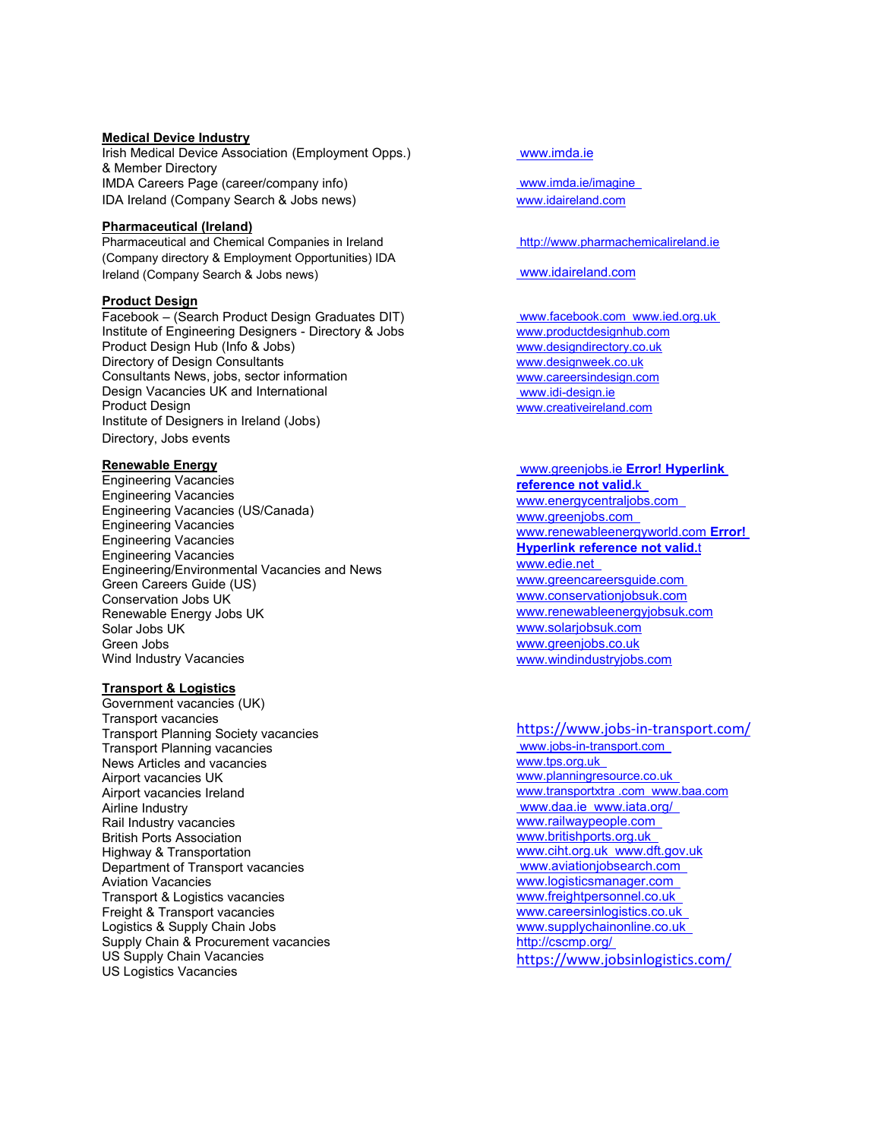# **Medical Device Industry**

Irish Medical Device Association (Employment Opps.) & Member Directory IMDA Careers Page (career/company info) IDA Ireland (Company Search & Jobs news)

#### **Pharmaceutical (Ireland)**

Pharmaceutical and Chemical Companies in Ireland (Company directory & Employment Opportunities) IDA Ireland (Company Search & Jobs news)

# **Product Design**

Facebook – (Search Product Design Graduates DIT) Institute of Engineering Designers - Directory & Jobs Product Design Hub (Info & Jobs) Directory of Design Consultants Consultants News, jobs, sector information Design Vacancies UK and International Product Design Institute of Designers in Ireland (Jobs) Directory, Jobs events

## **Renewable Energy**

Engineering Vacancies Engineering Vacancies Engineering Vacancies (US/Canada) Engineering Vacancies Engineering Vacancies Engineering Vacancies Engineering/Environmental Vacancies and News Green Careers Guide (US) Conservation Jobs UK Renewable Energy Jobs UK Solar Jobs UK Green Jobs Wind Industry Vacancies

# **Transport & Logistics**

Government vacancies (UK) Transport vacancies Transport Planning Society vacancies Transport Planning vacancies News Articles and vacancies Airport vacancies UK Airport vacancies Ireland Airline Industry Rail Industry vacancies British Ports Association Highway & Transportation Department of Transport vacancies Aviation Vacancies Transport & Logistics vacancies Freight & Transport vacancies Logistics & Supply Chain Jobs Supply Chain & Procurement vacancies US Supply Chain Vacancies US Logistics Vacancies

# [www.imda.ie](http://www.imda.ie/)

[www.imda.ie/imagine](http://www.imda.ie/imagine) [www.idaireland.com](http://www.idaireland.com/)

## [http://www.pharmachemicalireland.ie](http://www.pharmachemicalireland.ie/)

# [www.idaireland.com](http://www.idaireland.com/)

[www.facebook.com](http://www.facebook.com/) [www.ied.org.uk](http://www.ied.org.uk/) [www.productdesignhub.com](http://www.productdesignhub.com/) [www.designdirectory.co.uk](http://www.designdirectory.co.uk/) [www.designweek.co.uk](http://www.designweek.co.uk/) [www.careersindesign.com](http://www.careersindesign.com/) [www.idi-design.ie](http://www.idi-design.ie/) [www.creativeireland.com](http://www.creativeireland.com/)

#### [www.greenjobs.ie](http://www.greenjobs.ie/) **Error! Hyperlink reference not valid.**[k](http://www.energycentraljobs.com/)

[www.energycentraljobs.com](http://www.energycentraljobs.com/) [www.greenjobs.com](http://www.greenjobs.com/) [www.renewableenergyworld.com](http://www.renewableenergyworld.com/) **Error! Hyperlink reference not valid.**t [www.edie.net](http://www.edie.ne/) [www.greencareersguide.com](http://www.greencareersguide.com/) [www.conservationjobsuk.com](http://www.conservationjobsuk.com/) [www.renewableenergyjobsuk.com](http://www.renewableenergyjobsuk.com/) www.solariobsuk.com [www.greenjobs.co.uk](http://www.greenjobs.co.uk/) [www.windindustryjobs.com](http://www.windindustryjobs.com/)

# <https://www.jobs-in-transport.com/>

[www.jobs-in-transport.com](http://www.jobs-in-transport.com/) [www.tps.org.uk](http://www.tps.org.uk/) [www.planningresource.co.uk](http://www.planningresource.co.uk/) [www.transportxtra .com](http://www.transportxtra.com/) [www.baa.com](http://www.baa.com/) [www.daa.ie](http://www.daa.ie/) [www.iata.org/](http://www.iata.org/) [www.railwaypeople.com](http://www.railwaypeople.com/) [www.britishports.org.uk](http://www.britishports.org.uk/) [www.ciht.org.uk](http://www.ciht.org.uk/) [www.dft.gov.uk](http://www.dft.gov.uk/) [www.aviationjobsearch.com](http://www.aviationjobsearch.com/) [www.logisticsmanager.com](http://www.logisticsmanager.com/) [www.freightpersonnel.co.uk](http://www.freightpersonnel.co.uk/) [www.careersinlogistics.co.uk](http://www.careersinlogistics.co.uk/) [www.supplychainonline.co.uk](http://www.supplychainonline.co.uk/) <http://cscmp.org/> <https://www.jobsinlogistics.com/>